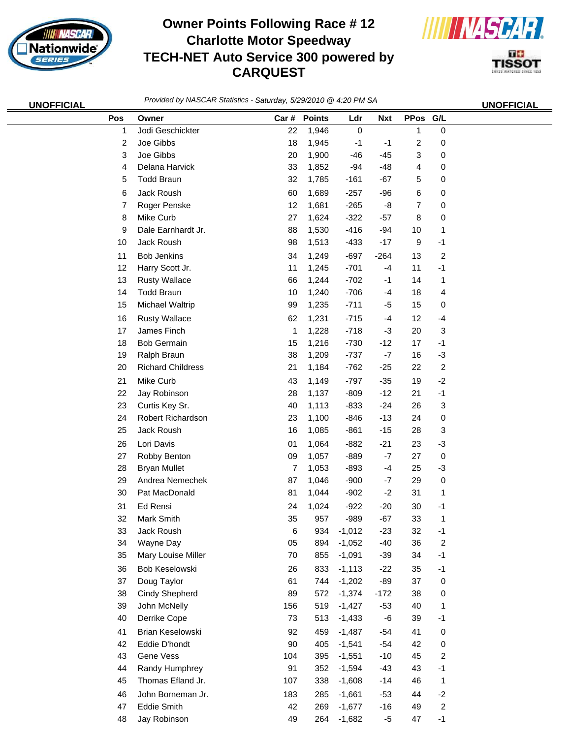

## **Owner Points Following Race # 12 Charlotte Motor Speedway TECH-NET Auto Service 300 powered by CARQUEST**



П÷ **TISSOT** 

| <b>UNOFFICIAL</b> | Provided by NASCAR Statistics - Saturday, 5/29/2010 @ 4:20 PM SA |                                   |           |              |                      |                |          | <b>UNOFFICIAL</b>        |  |
|-------------------|------------------------------------------------------------------|-----------------------------------|-----------|--------------|----------------------|----------------|----------|--------------------------|--|
|                   | Pos                                                              | Owner                             |           | Car # Points | Ldr                  | <b>Nxt</b>     | PPos G/L |                          |  |
|                   | 1                                                                | Jodi Geschickter                  | 22        | 1,946        | $\pmb{0}$            |                | 1        | 0                        |  |
|                   | 2                                                                | Joe Gibbs                         | 18        | 1,945        | $-1$                 | -1             | 2        | 0                        |  |
|                   | 3                                                                | Joe Gibbs                         | 20        | 1,900        | $-46$                | $-45$          | 3        | 0                        |  |
|                   | 4                                                                | Delana Harvick                    | 33        | 1,852        | $-94$                | $-48$          | 4        | 0                        |  |
|                   | 5                                                                | <b>Todd Braun</b>                 | 32        | 1,785        | $-161$               | $-67$          | 5        | 0                        |  |
|                   | 6                                                                | Jack Roush                        | 60        | 1,689        | $-257$               | $-96$          | 6        | 0                        |  |
|                   | 7                                                                | Roger Penske                      | 12        | 1,681        | $-265$               | -8             | 7        | 0                        |  |
|                   | 8                                                                | Mike Curb                         | 27        | 1,624        | $-322$               | $-57$          | 8        | 0                        |  |
|                   | 9                                                                | Dale Earnhardt Jr.                | 88        | 1,530        | $-416$               | $-94$          | 10       | 1                        |  |
|                   | 10                                                               | Jack Roush                        | 98        | 1,513        | $-433$               | $-17$          | 9        | $-1$                     |  |
|                   | 11                                                               | <b>Bob Jenkins</b>                | 34        | 1,249        | $-697$               | $-264$         | 13       | $\boldsymbol{2}$         |  |
|                   | 12                                                               | Harry Scott Jr.                   | 11        | 1,245        | $-701$               | $-4$           | 11       | $-1$                     |  |
|                   | 13                                                               | <b>Rusty Wallace</b>              | 66        | 1,244        | $-702$               | $-1$           | 14       | 1                        |  |
|                   | 14                                                               | <b>Todd Braun</b>                 | 10        | 1,240        | $-706$               | $-4$           | 18       | 4                        |  |
|                   | 15                                                               | Michael Waltrip                   | 99        | 1,235        | $-711$               | $-5$           | 15       | 0                        |  |
|                   | 16                                                               | <b>Rusty Wallace</b>              | 62        | 1,231        | $-715$               | $-4$           | 12       | $-4$                     |  |
|                   | 17                                                               | James Finch                       | 1         | 1,228        | $-718$               | $-3$           | 20       | 3                        |  |
|                   | 18                                                               | <b>Bob Germain</b>                | 15        | 1,216        | $-730$               | $-12$          | 17       | $-1$                     |  |
|                   | 19                                                               | Ralph Braun                       | 38        | 1,209        | $-737$               | $-7$           | 16       | $-3$                     |  |
|                   | 20                                                               | <b>Richard Childress</b>          | 21        | 1,184        | $-762$               | $-25$          | 22       | $\boldsymbol{2}$         |  |
|                   | 21                                                               | Mike Curb                         | 43        | 1,149        | $-797$               | $-35$          | 19       | $-2$                     |  |
|                   | 22                                                               | Jay Robinson                      | 28        | 1,137        | $-809$               | $-12$          | 21       | $-1$                     |  |
|                   | 23                                                               | Curtis Key Sr.                    | 40        | 1,113        | $-833$               | $-24$          | 26       | 3                        |  |
|                   | 24                                                               | Robert Richardson                 | 23        | 1,100        | $-846$               | $-13$          | 24       | 0                        |  |
|                   | 25                                                               | Jack Roush                        | 16        | 1,085        | $-861$               | $-15$          | 28       | 3                        |  |
|                   | 26                                                               | Lori Davis                        | 01        | 1,064        | $-882$               | $-21$          | 23       | $-3$                     |  |
|                   | 27                                                               | Robby Benton                      | 09        | 1,057        | $-889$               | $-7$           | 27       | 0                        |  |
|                   | 28                                                               | <b>Bryan Mullet</b>               | 7         | 1,053        | $-893$               | $-4$           | 25       | $-3$                     |  |
|                   | 29                                                               | Andrea Nemechek                   | 87        | 1,046        | $-900$               | $-7$           | 29       | 0                        |  |
|                   | 30                                                               | Pat MacDonald                     | 81        | 1,044        | $-902$               | $-2$           | 31       | 1                        |  |
|                   | 31                                                               | Ed Rensi                          | 24        | 1,024        | $-922$               | $-20$          | 30       | $-1$                     |  |
|                   | 32                                                               | Mark Smith                        | 35        | 957          | $-989$               | $-67$          | 33       | 1                        |  |
|                   | 33                                                               | Jack Roush                        | 6         | 934          | $-1,012$             | $-23$          | 32       | $-1$                     |  |
|                   | 34                                                               | Wayne Day                         | 05        | 894          | $-1,052$             | $-40$          | 36       | $\boldsymbol{2}$         |  |
|                   | 35                                                               | Mary Louise Miller                | 70        | 855          | $-1,091$             | $-39$          | 34       | $-1$                     |  |
|                   | 36                                                               | Bob Keselowski                    | 26        | 833          | $-1,113$             | $-22$          | 35       | $-1$                     |  |
|                   | 37                                                               | Doug Taylor                       | 61        | 744          | $-1,202$             | $-89$          | 37       | $\pmb{0}$                |  |
|                   | 38                                                               | <b>Cindy Shepherd</b>             | 89        | 572          | $-1,374$             | $-172$         | 38       | 0                        |  |
|                   | 39                                                               | John McNelly                      | 156       | 519          | $-1,427$             | $-53$          | 40       | 1                        |  |
|                   | 40                                                               | Derrike Cope                      | 73        | 513          | $-1,433$             | $-6$           | 39       | $-1$                     |  |
|                   |                                                                  |                                   |           |              |                      |                |          |                          |  |
|                   | 41                                                               | Brian Keselowski<br>Eddie D'hondt | 92        | 459          | $-1,487$             | $-54$<br>$-54$ | 41       | 0                        |  |
|                   | 42                                                               | Gene Vess                         | 90        | 405          | $-1,541$             | $-10$          | 42<br>45 | $\,0\,$                  |  |
|                   | 43<br>44                                                         | Randy Humphrey                    | 104<br>91 | 395<br>352   | $-1,551$<br>$-1,594$ | $-43$          | 43       | $\boldsymbol{2}$<br>$-1$ |  |
|                   | 45                                                               | Thomas Efland Jr.                 | 107       | 338          | $-1,608$             | $-14$          | 46       | 1                        |  |
|                   |                                                                  |                                   |           |              |                      |                |          |                          |  |
|                   | 46                                                               | John Borneman Jr.                 | 183       | 285          | $-1,661$             | $-53$          | 44       | $-2$                     |  |
|                   | 47                                                               | <b>Eddie Smith</b>                | 42        | 269          | $-1,677$             | $-16$          | 49       | $\overline{c}$           |  |

Jay Robinson 49 264 -1,682 -5 47 -1